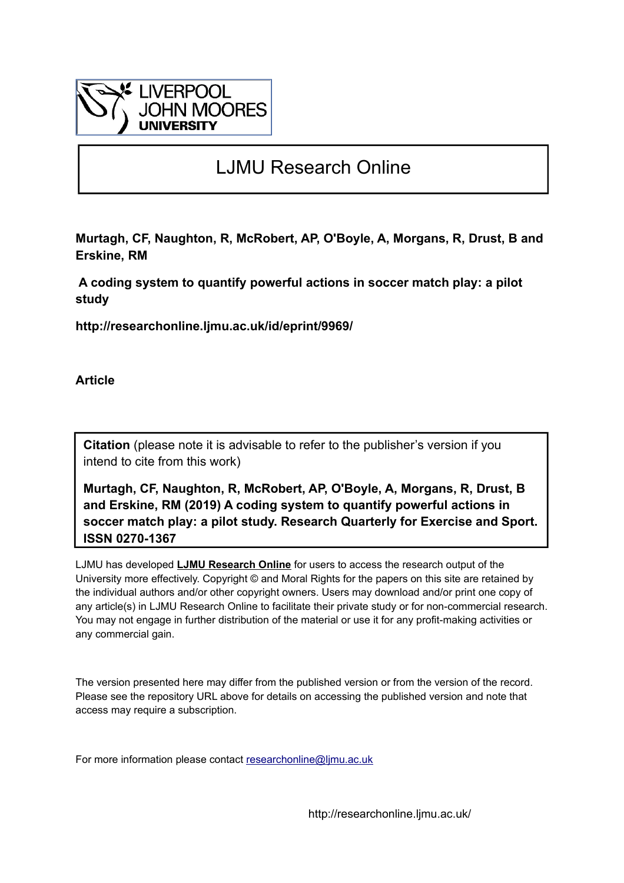

# LJMU Research Online

**Murtagh, CF, Naughton, R, McRobert, AP, O'Boyle, A, Morgans, R, Drust, B and Erskine, RM**

 **A coding system to quantify powerful actions in soccer match play: a pilot study**

**http://researchonline.ljmu.ac.uk/id/eprint/9969/**

**Article**

**Citation** (please note it is advisable to refer to the publisher's version if you intend to cite from this work)

**Murtagh, CF, Naughton, R, McRobert, AP, O'Boyle, A, Morgans, R, Drust, B and Erskine, RM (2019) A coding system to quantify powerful actions in soccer match play: a pilot study. Research Quarterly for Exercise and Sport. ISSN 0270-1367** 

LJMU has developed **[LJMU Research Online](http://researchonline.ljmu.ac.uk/)** for users to access the research output of the University more effectively. Copyright © and Moral Rights for the papers on this site are retained by the individual authors and/or other copyright owners. Users may download and/or print one copy of any article(s) in LJMU Research Online to facilitate their private study or for non-commercial research. You may not engage in further distribution of the material or use it for any profit-making activities or any commercial gain.

The version presented here may differ from the published version or from the version of the record. Please see the repository URL above for details on accessing the published version and note that access may require a subscription.

For more information please contact researchonline@limu.ac.uk

http://researchonline.ljmu.ac.uk/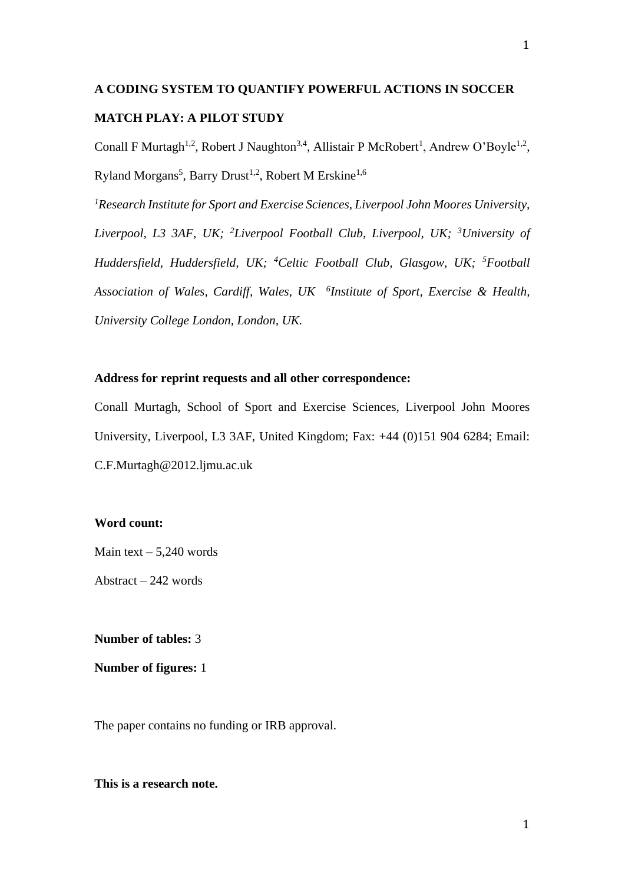# **A CODING SYSTEM TO QUANTIFY POWERFUL ACTIONS IN SOCCER MATCH PLAY: A PILOT STUDY**

Conall F Murtagh<sup>1,2</sup>, Robert J Naughton<sup>3,4</sup>, Allistair P McRobert<sup>1</sup>, Andrew O'Boyle<sup>1,2</sup>, Ryland Morgans<sup>5</sup>, Barry Drust<sup>1,2</sup>, Robert M Erskine<sup>1,6</sup>

*<sup>1</sup>Research Institute for Sport and Exercise Sciences, Liverpool John Moores University, Liverpool, L3 3AF, UK; <sup>2</sup>Liverpool Football Club, Liverpool, UK; <sup>3</sup>University of Huddersfield, Huddersfield, UK; <sup>4</sup>Celtic Football Club, Glasgow, UK; <sup>5</sup>Football Association of Wales, Cardiff, Wales, UK <sup>6</sup> Institute of Sport, Exercise & Health, University College London, London, UK.* 

## **Address for reprint requests and all other correspondence:**

Conall Murtagh, School of Sport and Exercise Sciences, Liverpool John Moores University, Liverpool, L3 3AF, United Kingdom; Fax: +44 (0)151 904 6284; Email: C.F.Murtagh@2012.ljmu.ac.uk

# **Word count:**

Main text  $-5.240$  words

Abstract – 242 words

# **Number of tables:** 3

**Number of figures:** 1

The paper contains no funding or IRB approval.

#### **This is a research note.**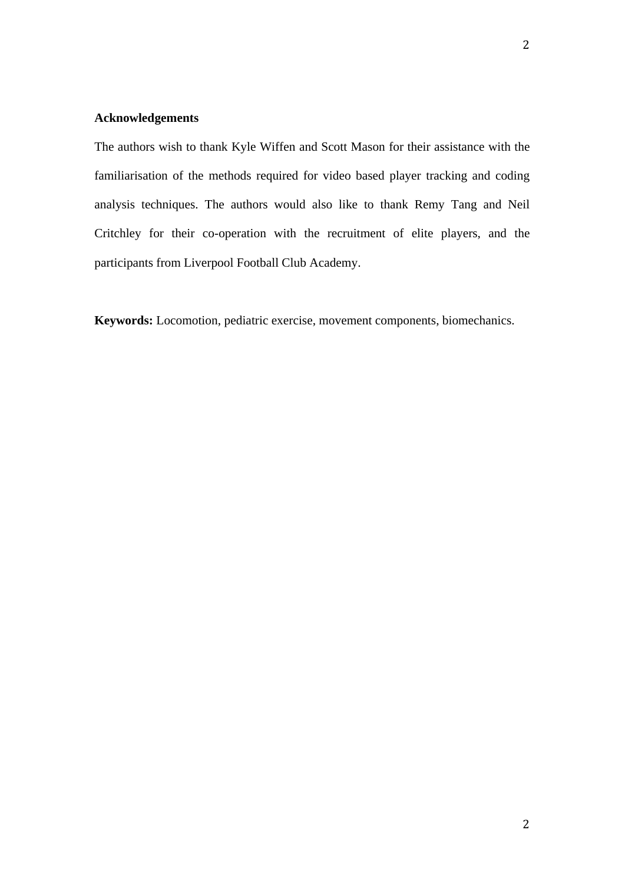#### **Acknowledgements**

The authors wish to thank Kyle Wiffen and Scott Mason for their assistance with the familiarisation of the methods required for video based player tracking and coding analysis techniques. The authors would also like to thank Remy Tang and Neil Critchley for their co-operation with the recruitment of elite players, and the participants from Liverpool Football Club Academy.

**Keywords:** Locomotion, pediatric exercise, movement components, biomechanics.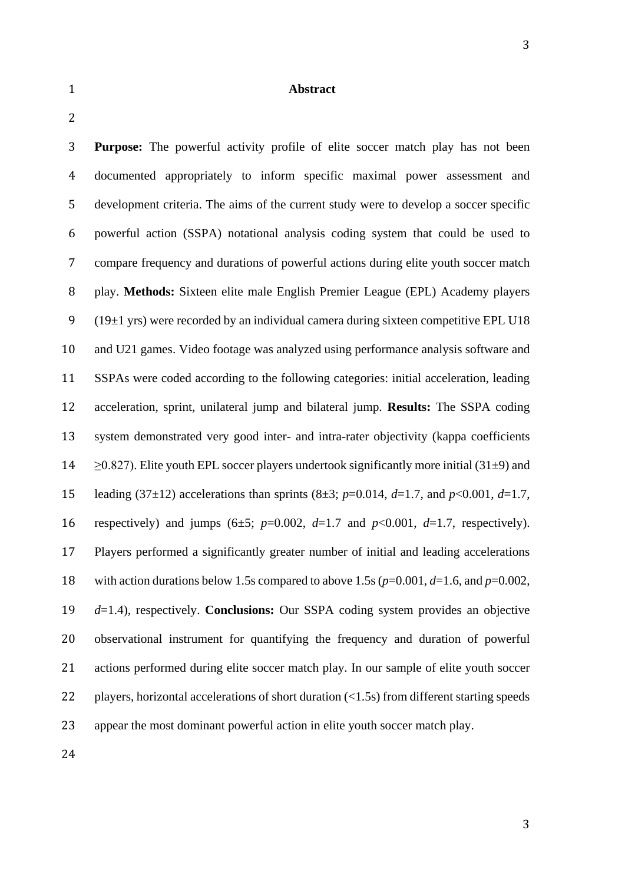#### **Abstract**

 **Purpose:** The powerful activity profile of elite soccer match play has not been documented appropriately to inform specific maximal power assessment and development criteria. The aims of the current study were to develop a soccer specific powerful action (SSPA) notational analysis coding system that could be used to compare frequency and durations of powerful actions during elite youth soccer match play. **Methods:** Sixteen elite male English Premier League (EPL) Academy players 9 (19 $\pm$ 1 yrs) were recorded by an individual camera during sixteen competitive EPL U18 and U21 games. Video footage was analyzed using performance analysis software and SSPAs were coded according to the following categories: initial acceleration, leading acceleration, sprint, unilateral jump and bilateral jump. **Results:** The SSPA coding system demonstrated very good inter- and intra-rater objectivity (kappa coefficients  $\geq$  20.827). Elite youth EPL soccer players undertook significantly more initial (31 $\pm$ 9) and leading (37±12) accelerations than sprints (8±3; *p*=0.014, *d*=1.7, and *p*<0.001, *d*=1.7, 16 respectively) and jumps  $(6±5; p=0.002, d=1.7$  and  $p<0.001, d=1.7$ , respectively). Players performed a significantly greater number of initial and leading accelerations 18 with action durations below 1.5s compared to above 1.5s  $(p=0.001, d=1.6, \text{ and } p=0.002,$  *d*=1.4), respectively. **Conclusions:** Our SSPA coding system provides an objective observational instrument for quantifying the frequency and duration of powerful actions performed during elite soccer match play. In our sample of elite youth soccer 22 players, horizontal accelerations of short duration (<1.5s) from different starting speeds appear the most dominant powerful action in elite youth soccer match play.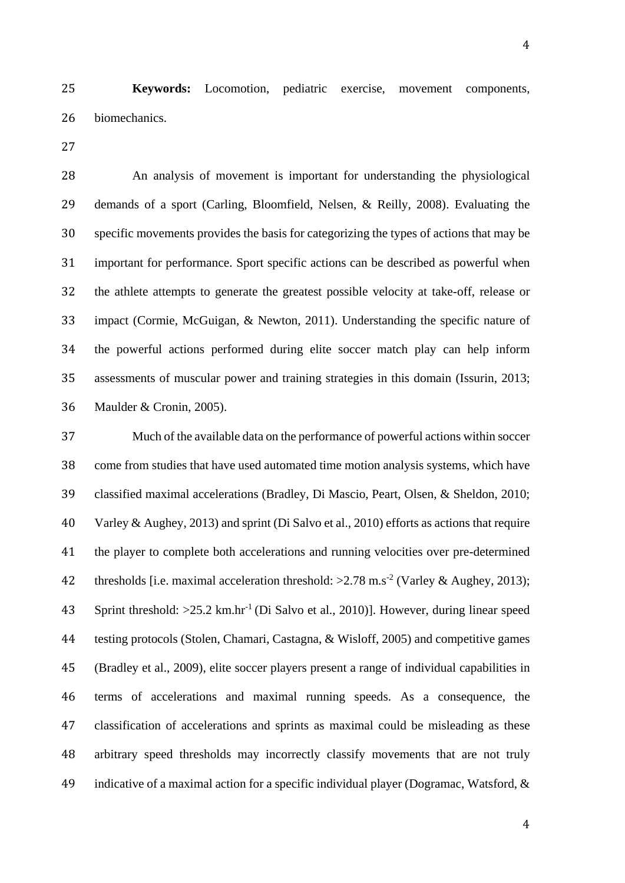**Keywords:** Locomotion, pediatric exercise, movement components, biomechanics.

 An analysis of movement is important for understanding the physiological demands of a sport (Carling, Bloomfield, Nelsen, & Reilly, 2008). Evaluating the specific movements provides the basis for categorizing the types of actions that may be important for performance. Sport specific actions can be described as powerful when the athlete attempts to generate the greatest possible velocity at take-off, release or impact (Cormie, McGuigan, & Newton, 2011). Understanding the specific nature of the powerful actions performed during elite soccer match play can help inform assessments of muscular power and training strategies in this domain (Issurin, 2013; Maulder & Cronin, 2005).

 Much of the available data on the performance of powerful actions within soccer come from studies that have used automated time motion analysis systems, which have classified maximal accelerations (Bradley, Di Mascio, Peart, Olsen, & Sheldon, 2010; Varley & Aughey, 2013) and sprint (Di Salvo et al., 2010) efforts as actions that require the player to complete both accelerations and running velocities over pre-determined 42 thresholds [i.e. maximal acceleration threshold:  $>2.78$  m.s<sup>-2</sup> (Varley & Aughey, 2013); 43 Sprint threshold:  $>25.2$  km.hr<sup>-1</sup> (Di Salvo et al., 2010)]. However, during linear speed testing protocols (Stolen, Chamari, Castagna, & Wisloff, 2005) and competitive games (Bradley et al., 2009), elite soccer players present a range of individual capabilities in terms of accelerations and maximal running speeds. As a consequence, the classification of accelerations and sprints as maximal could be misleading as these arbitrary speed thresholds may incorrectly classify movements that are not truly indicative of a maximal action for a specific individual player (Dogramac, Watsford, &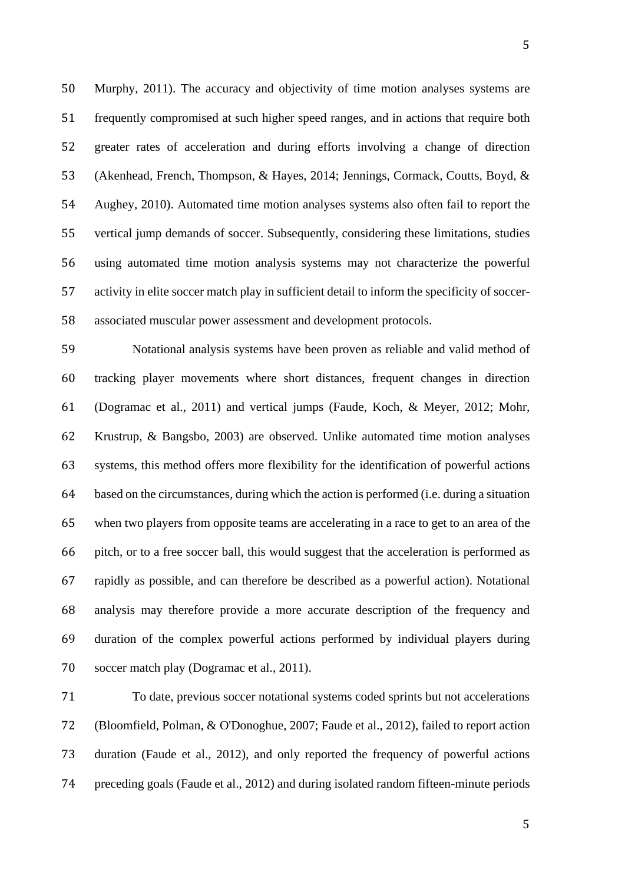Murphy, 2011). The accuracy and objectivity of time motion analyses systems are frequently compromised at such higher speed ranges, and in actions that require both greater rates of acceleration and during efforts involving a change of direction (Akenhead, French, Thompson, & Hayes, 2014; Jennings, Cormack, Coutts, Boyd, & Aughey, 2010). Automated time motion analyses systems also often fail to report the vertical jump demands of soccer. Subsequently, considering these limitations, studies using automated time motion analysis systems may not characterize the powerful activity in elite soccer match play in sufficient detail to inform the specificity of soccer-associated muscular power assessment and development protocols.

 Notational analysis systems have been proven as reliable and valid method of tracking player movements where short distances, frequent changes in direction (Dogramac et al., 2011) and vertical jumps (Faude, Koch, & Meyer, 2012; Mohr, Krustrup, & Bangsbo, 2003) are observed. Unlike automated time motion analyses systems, this method offers more flexibility for the identification of powerful actions based on the circumstances, during which the action is performed (i.e. during a situation when two players from opposite teams are accelerating in a race to get to an area of the pitch, or to a free soccer ball, this would suggest that the acceleration is performed as rapidly as possible, and can therefore be described as a powerful action). Notational analysis may therefore provide a more accurate description of the frequency and duration of the complex powerful actions performed by individual players during soccer match play (Dogramac et al., 2011).

 To date, previous soccer notational systems coded sprints but not accelerations (Bloomfield, Polman, & O'Donoghue, 2007; Faude et al., 2012), failed to report action duration (Faude et al., 2012), and only reported the frequency of powerful actions preceding goals (Faude et al., 2012) and during isolated random fifteen-minute periods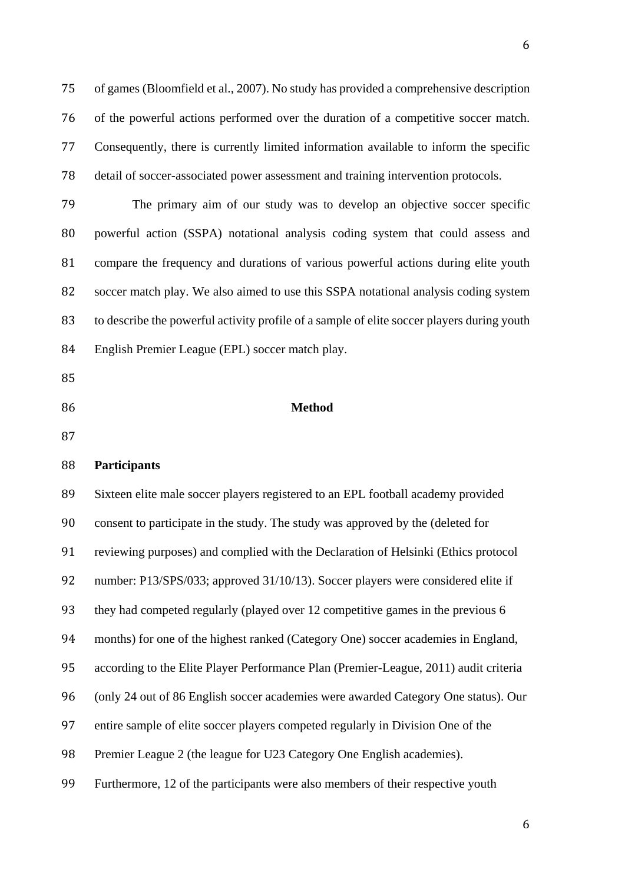of games (Bloomfield et al., 2007). No study has provided a comprehensive description of the powerful actions performed over the duration of a competitive soccer match. Consequently, there is currently limited information available to inform the specific detail of soccer-associated power assessment and training intervention protocols.

 The primary aim of our study was to develop an objective soccer specific powerful action (SSPA) notational analysis coding system that could assess and compare the frequency and durations of various powerful actions during elite youth soccer match play. We also aimed to use this SSPA notational analysis coding system to describe the powerful activity profile of a sample of elite soccer players during youth English Premier League (EPL) soccer match play.

- 
- 

## **Method**

# **Participants**

 Sixteen elite male soccer players registered to an EPL football academy provided consent to participate in the study. The study was approved by the (deleted for reviewing purposes) and complied with the Declaration of Helsinki (Ethics protocol number: P13/SPS/033; approved 31/10/13). Soccer players were considered elite if they had competed regularly (played over 12 competitive games in the previous 6 months) for one of the highest ranked (Category One) soccer academies in England, according to the Elite Player Performance Plan (Premier-League, 2011) audit criteria (only 24 out of 86 English soccer academies were awarded Category One status). Our entire sample of elite soccer players competed regularly in Division One of the 98 Premier League 2 (the league for U23 Category One English academies). Furthermore, 12 of the participants were also members of their respective youth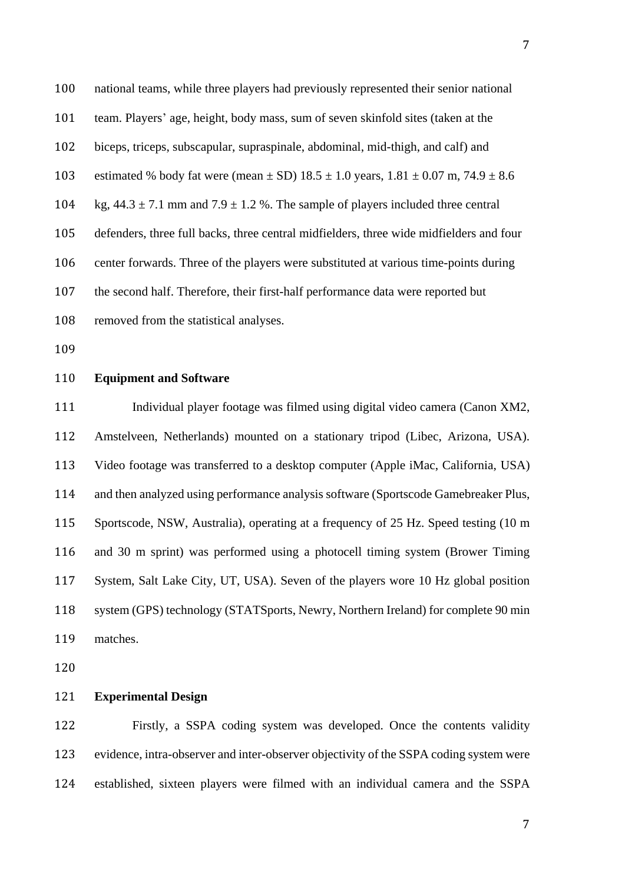national teams, while three players had previously represented their senior national team. Players' age, height, body mass, sum of seven skinfold sites (taken at the biceps, triceps, subscapular, supraspinale, abdominal, mid-thigh, and calf) and 103 estimated % body fat were (mean  $\pm$  SD) 18.5  $\pm$  1.0 years, 1.81  $\pm$  0.07 m, 74.9  $\pm$  8.6 104 kg,  $44.3 \pm 7.1$  mm and  $7.9 \pm 1.2$  %. The sample of players included three central defenders, three full backs, three central midfielders, three wide midfielders and four center forwards. Three of the players were substituted at various time-points during the second half. Therefore, their first-half performance data were reported but removed from the statistical analyses.

## **Equipment and Software**

 Individual player footage was filmed using digital video camera (Canon XM2, Amstelveen, Netherlands) mounted on a stationary tripod (Libec, Arizona, USA). Video footage was transferred to a desktop computer (Apple iMac, California, USA) and then analyzed using performance analysis software (Sportscode Gamebreaker Plus, Sportscode, NSW, Australia), operating at a frequency of 25 Hz. Speed testing (10 m and 30 m sprint) was performed using a photocell timing system (Brower Timing System, Salt Lake City, UT, USA). Seven of the players wore 10 Hz global position system (GPS) technology (STATSports, Newry, Northern Ireland) for complete 90 min matches.

### **Experimental Design**

 Firstly, a SSPA coding system was developed. Once the contents validity evidence, intra-observer and inter-observer objectivity of the SSPA coding system were established, sixteen players were filmed with an individual camera and the SSPA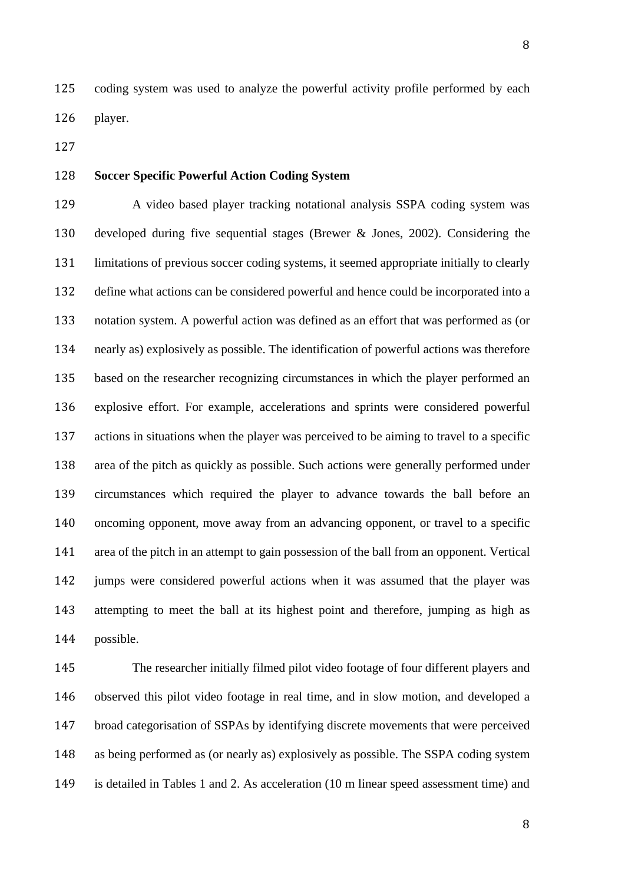coding system was used to analyze the powerful activity profile performed by each player.

## **Soccer Specific Powerful Action Coding System**

 A video based player tracking notational analysis SSPA coding system was developed during five sequential stages (Brewer & Jones, 2002). Considering the limitations of previous soccer coding systems, it seemed appropriate initially to clearly define what actions can be considered powerful and hence could be incorporated into a notation system. A powerful action was defined as an effort that was performed as (or nearly as) explosively as possible. The identification of powerful actions was therefore based on the researcher recognizing circumstances in which the player performed an explosive effort. For example, accelerations and sprints were considered powerful actions in situations when the player was perceived to be aiming to travel to a specific area of the pitch as quickly as possible. Such actions were generally performed under circumstances which required the player to advance towards the ball before an oncoming opponent, move away from an advancing opponent, or travel to a specific area of the pitch in an attempt to gain possession of the ball from an opponent. Vertical jumps were considered powerful actions when it was assumed that the player was attempting to meet the ball at its highest point and therefore, jumping as high as possible.

 The researcher initially filmed pilot video footage of four different players and observed this pilot video footage in real time, and in slow motion, and developed a broad categorisation of SSPAs by identifying discrete movements that were perceived as being performed as (or nearly as) explosively as possible. The SSPA coding system is detailed in Tables 1 and 2. As acceleration (10 m linear speed assessment time) and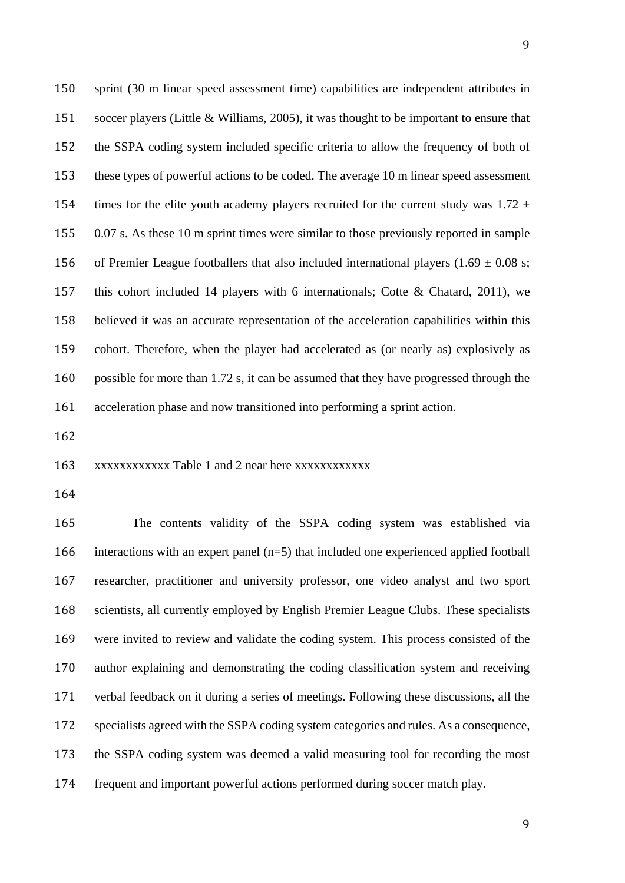sprint (30 m linear speed assessment time) capabilities are independent attributes in soccer players (Little & Williams, 2005), it was thought to be important to ensure that the SSPA coding system included specific criteria to allow the frequency of both of these types of powerful actions to be coded. The average 10 m linear speed assessment 154 times for the elite youth academy players recruited for the current study was  $1.72 \pm 1.72$  0.07 s. As these 10 m sprint times were similar to those previously reported in sample 156 of Premier League footballers that also included international players (1.69  $\pm$  0.08 s; this cohort included 14 players with 6 internationals; Cotte & Chatard, 2011), we believed it was an accurate representation of the acceleration capabilities within this cohort. Therefore, when the player had accelerated as (or nearly as) explosively as possible for more than 1.72 s, it can be assumed that they have progressed through the acceleration phase and now transitioned into performing a sprint action.

xxxxxxxxxxxx Table 1 and 2 near here xxxxxxxxxxxx

 The contents validity of the SSPA coding system was established via interactions with an expert panel (n=5) that included one experienced applied football researcher, practitioner and university professor, one video analyst and two sport scientists, all currently employed by English Premier League Clubs. These specialists were invited to review and validate the coding system. This process consisted of the author explaining and demonstrating the coding classification system and receiving verbal feedback on it during a series of meetings. Following these discussions, all the specialists agreed with the SSPA coding system categories and rules. As a consequence, the SSPA coding system was deemed a valid measuring tool for recording the most frequent and important powerful actions performed during soccer match play.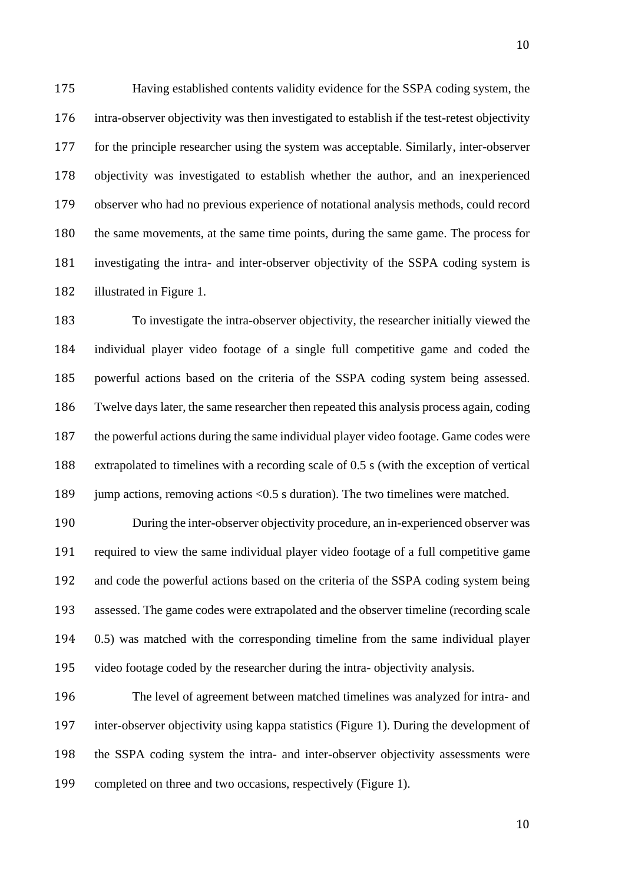Having established contents validity evidence for the SSPA coding system, the intra-observer objectivity was then investigated to establish if the test-retest objectivity for the principle researcher using the system was acceptable. Similarly, inter-observer objectivity was investigated to establish whether the author, and an inexperienced observer who had no previous experience of notational analysis methods, could record the same movements, at the same time points, during the same game. The process for investigating the intra- and inter-observer objectivity of the SSPA coding system is illustrated in Figure 1.

 To investigate the intra-observer objectivity, the researcher initially viewed the individual player video footage of a single full competitive game and coded the powerful actions based on the criteria of the SSPA coding system being assessed. Twelve days later, the same researcher then repeated this analysis process again, coding the powerful actions during the same individual player video footage. Game codes were extrapolated to timelines with a recording scale of 0.5 s (with the exception of vertical 189 jump actions, removing actions <0.5 s duration). The two timelines were matched.

 During the inter-observer objectivity procedure, an in-experienced observer was required to view the same individual player video footage of a full competitive game and code the powerful actions based on the criteria of the SSPA coding system being assessed. The game codes were extrapolated and the observer timeline (recording scale 0.5) was matched with the corresponding timeline from the same individual player video footage coded by the researcher during the intra- objectivity analysis.

 The level of agreement between matched timelines was analyzed for intra- and inter-observer objectivity using kappa statistics (Figure 1). During the development of the SSPA coding system the intra- and inter-observer objectivity assessments were completed on three and two occasions, respectively (Figure 1).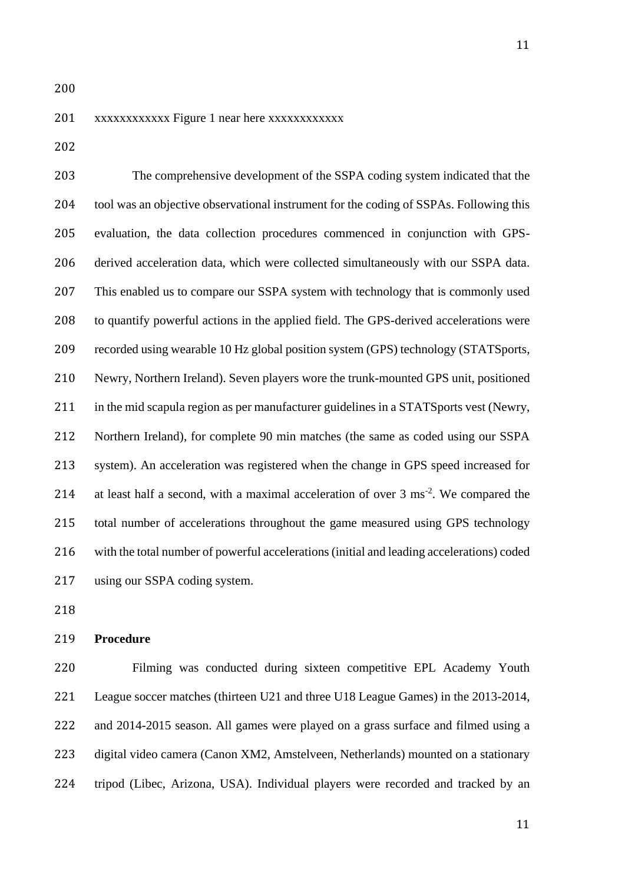### xxxxxxxxxxxx Figure 1 near here xxxxxxxxxxxx

 The comprehensive development of the SSPA coding system indicated that the tool was an objective observational instrument for the coding of SSPAs. Following this evaluation, the data collection procedures commenced in conjunction with GPS- derived acceleration data, which were collected simultaneously with our SSPA data. This enabled us to compare our SSPA system with technology that is commonly used to quantify powerful actions in the applied field. The GPS-derived accelerations were recorded using wearable 10 Hz global position system (GPS) technology (STATSports, Newry, Northern Ireland). Seven players wore the trunk-mounted GPS unit, positioned 211 in the mid scapula region as per manufacturer guidelines in a STATSports vest (Newry, Northern Ireland), for complete 90 min matches (the same as coded using our SSPA system). An acceleration was registered when the change in GPS speed increased for 214 at least half a second, with a maximal acceleration of over  $3 \text{ ms}^{-2}$ . We compared the total number of accelerations throughout the game measured using GPS technology with the total number of powerful accelerations (initial and leading accelerations) coded using our SSPA coding system.

### **Procedure**

 Filming was conducted during sixteen competitive EPL Academy Youth League soccer matches (thirteen U21 and three U18 League Games) in the 2013-2014, and 2014-2015 season. All games were played on a grass surface and filmed using a digital video camera (Canon XM2, Amstelveen, Netherlands) mounted on a stationary tripod (Libec, Arizona, USA). Individual players were recorded and tracked by an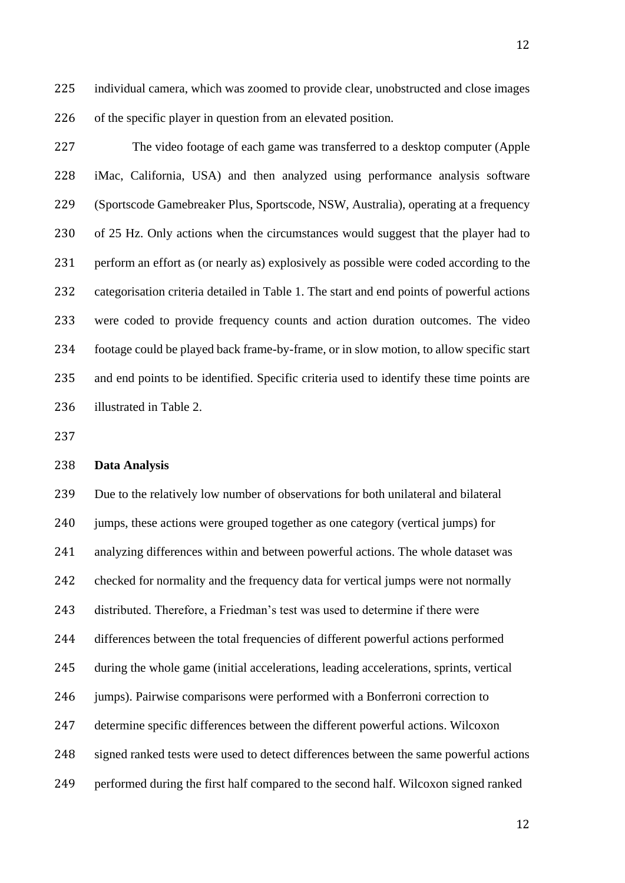individual camera, which was zoomed to provide clear, unobstructed and close images of the specific player in question from an elevated position.

 The video footage of each game was transferred to a desktop computer (Apple iMac, California, USA) and then analyzed using performance analysis software (Sportscode Gamebreaker Plus, Sportscode, NSW, Australia), operating at a frequency of 25 Hz. Only actions when the circumstances would suggest that the player had to perform an effort as (or nearly as) explosively as possible were coded according to the categorisation criteria detailed in Table 1. The start and end points of powerful actions were coded to provide frequency counts and action duration outcomes. The video footage could be played back frame-by-frame, or in slow motion, to allow specific start and end points to be identified. Specific criteria used to identify these time points are illustrated in Table 2.

## **Data Analysis**

 Due to the relatively low number of observations for both unilateral and bilateral jumps, these actions were grouped together as one category (vertical jumps) for analyzing differences within and between powerful actions. The whole dataset was checked for normality and the frequency data for vertical jumps were not normally distributed. Therefore, a Friedman's test was used to determine if there were differences between the total frequencies of different powerful actions performed during the whole game (initial accelerations, leading accelerations, sprints, vertical jumps). Pairwise comparisons were performed with a Bonferroni correction to determine specific differences between the different powerful actions. Wilcoxon signed ranked tests were used to detect differences between the same powerful actions performed during the first half compared to the second half. Wilcoxon signed ranked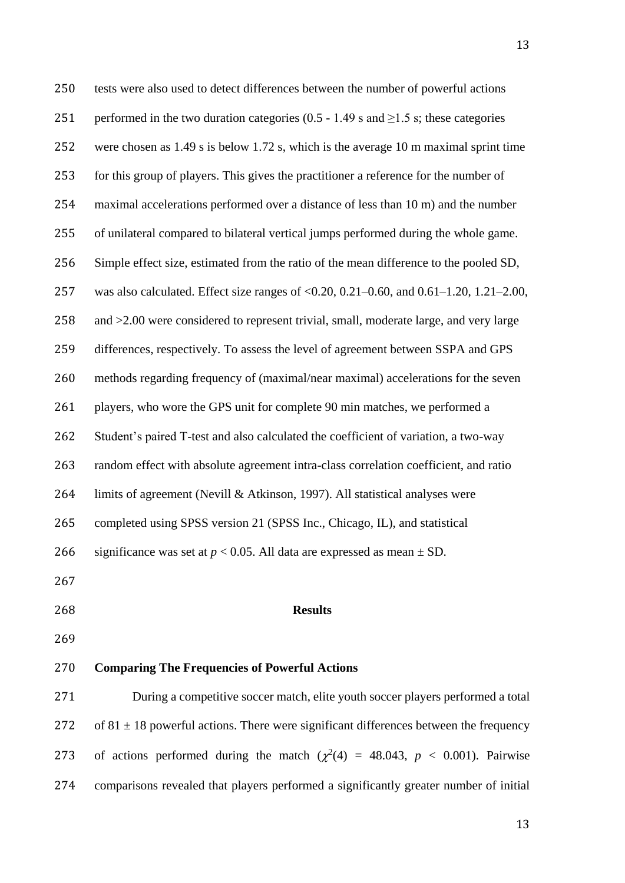tests were also used to detect differences between the number of powerful actions 251 performed in the two duration categories (0.5 - 1.49 s and  $\geq$ 1.5 s; these categories were chosen as 1.49 s is below 1.72 s, which is the average 10 m maximal sprint time for this group of players. This gives the practitioner a reference for the number of maximal accelerations performed over a distance of less than 10 m) and the number of unilateral compared to bilateral vertical jumps performed during the whole game. Simple effect size, estimated from the ratio of the mean difference to the pooled SD, was also calculated. Effect size ranges of <0.20, 0.21–0.60, and 0.61–1.20, 1.21–2.00, and >2.00 were considered to represent trivial, small, moderate large, and very large differences, respectively. To assess the level of agreement between SSPA and GPS methods regarding frequency of (maximal/near maximal) accelerations for the seven players, who wore the GPS unit for complete 90 min matches, we performed a Student's paired T-test and also calculated the coefficient of variation, a two-way random effect with absolute agreement intra-class correlation coefficient, and ratio limits of agreement (Nevill & Atkinson, 1997). All statistical analyses were completed using SPSS version 21 (SPSS Inc., Chicago, IL), and statistical 266 significance was set at  $p < 0.05$ . All data are expressed as mean  $\pm$  SD. **Results Comparing The Frequencies of Powerful Actions**

 During a competitive soccer match, elite youth soccer players performed a total 272 of  $81 \pm 18$  powerful actions. There were significant differences between the frequency 273 of actions performed during the match  $(\chi^2(4) = 48.043, p < 0.001)$ . Pairwise comparisons revealed that players performed a significantly greater number of initial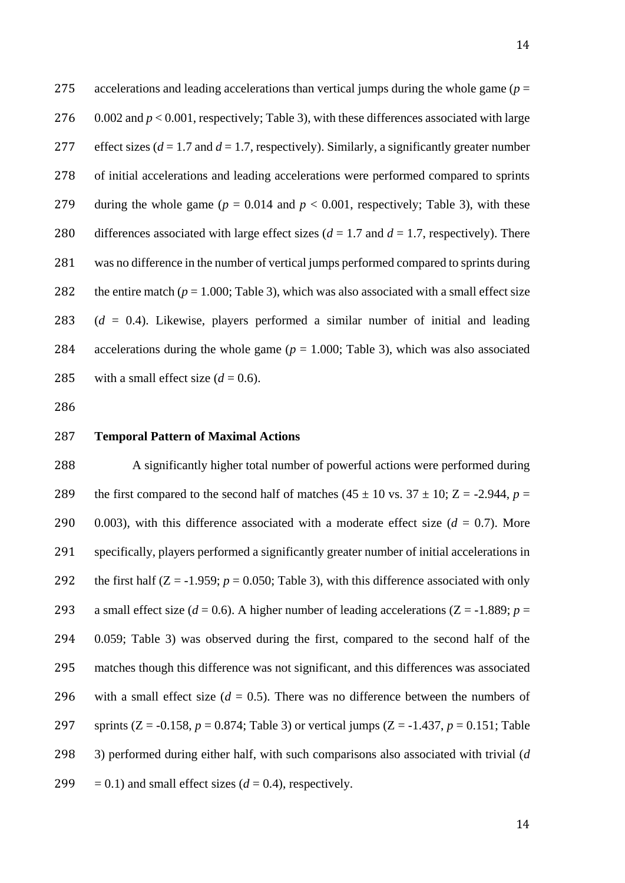275 accelerations and leading accelerations than vertical jumps during the whole game (*p* = 276 0.002 and  $p < 0.001$ , respectively; Table 3), with these differences associated with large 277 effect sizes  $(d = 1.7$  and  $d = 1.7$ , respectively). Similarly, a significantly greater number 278 of initial accelerations and leading accelerations were performed compared to sprints 279 during the whole game ( $p = 0.014$  and  $p < 0.001$ , respectively; Table 3), with these 280 differences associated with large effect sizes  $(d = 1.7 \text{ and } d = 1.7, \text{ respectively})$ . There 281 was no difference in the number of vertical jumps performed compared to sprints during 282 the entire match ( $p = 1.000$ ; Table 3), which was also associated with a small effect size 283 (*d* = 0.4). Likewise, players performed a similar number of initial and leading 284 accelerations during the whole game (*p* = 1.000; Table 3), which was also associated 285 with a small effect size  $(d = 0.6)$ .

286

#### 287 **Temporal Pattern of Maximal Actions**

 A significantly higher total number of powerful actions were performed during 289 the first compared to the second half of matches  $(45 \pm 10 \text{ vs. } 37 \pm 10; Z = -2.944, p =$  $0.003$ ), with this difference associated with a moderate effect size  $(d = 0.7)$ . More specifically, players performed a significantly greater number of initial accelerations in 292 the first half  $(Z = -1.959; p = 0.050;$  Table 3), with this difference associated with only 293 a small effect size ( $d = 0.6$ ). A higher number of leading accelerations ( $Z = -1.889$ ;  $p =$  0.059; Table 3) was observed during the first, compared to the second half of the matches though this difference was not significant, and this differences was associated 296 with a small effect size  $(d = 0.5)$ . There was no difference between the numbers of sprints (Z = -0.158, *p* = 0.874; Table 3) or vertical jumps (Z = -1.437, *p* = 0.151; Table 3) performed during either half, with such comparisons also associated with trivial (*d*  $= 0.1$ ) and small effect sizes ( $d = 0.4$ ), respectively.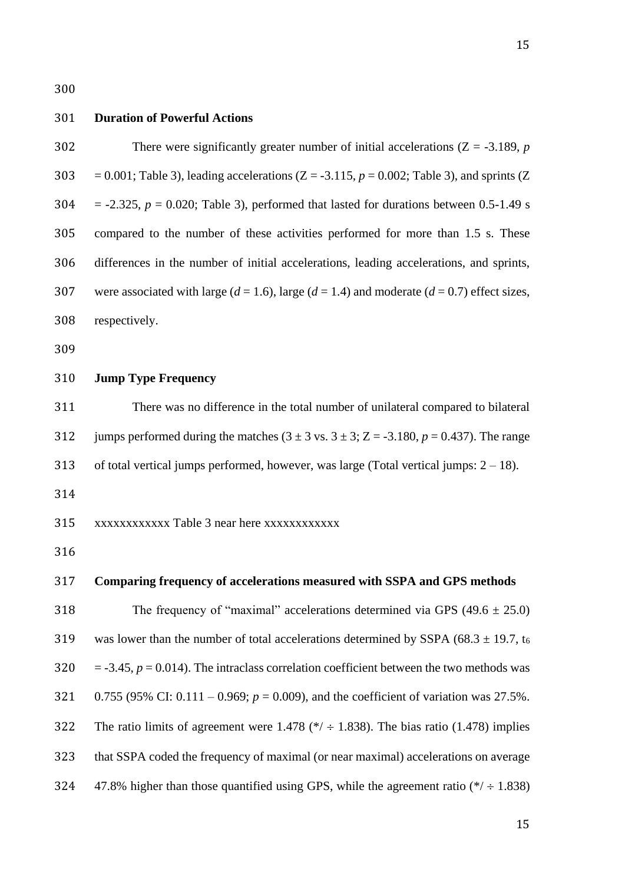#### **Duration of Powerful Actions**

 There were significantly greater number of initial accelerations (Z = -3.189, *p* 303 = 0.001; Table 3), leading accelerations  $(Z = -3.115, p = 0.002$ ; Table 3), and sprints  $(Z = -3.115, p = 0.002)$  $304 = -2.325$ ,  $p = 0.020$ ; Table 3), performed that lasted for durations between 0.5-1.49 s compared to the number of these activities performed for more than 1.5 s. These differences in the number of initial accelerations, leading accelerations, and sprints, 307 were associated with large  $(d = 1.6)$ , large  $(d = 1.4)$  and moderate  $(d = 0.7)$  effect sizes, respectively.

## **Jump Type Frequency**

 There was no difference in the total number of unilateral compared to bilateral 312 jumps performed during the matches  $(3 \pm 3 \text{ vs. } 3 \pm 3; Z = -3.180, p = 0.437)$ . The range 313 of total vertical jumps performed, however, was large (Total vertical jumps:  $2 - 18$ ).

xxxxxxxxxxxx Table 3 near here xxxxxxxxxxxx

## **Comparing frequency of accelerations measured with SSPA and GPS methods**

318 The frequency of "maximal" accelerations determined via GPS  $(49.6 \pm 25.0)$ 319 was lower than the number of total accelerations determined by SSPA (68.3  $\pm$  19.7, t<sub>6</sub>  $320 = -3.45$ ,  $p = 0.014$ ). The intraclass correlation coefficient between the two methods was 0.755 (95% CI: 0.111 – 0.969; *p* = 0.009), and the coefficient of variation was 27.5%. 322 The ratio limits of agreement were 1.478 ( $*/ \div 1.838$ ). The bias ratio (1.478) implies that SSPA coded the frequency of maximal (or near maximal) accelerations on average 324 47.8% higher than those quantified using GPS, while the agreement ratio  $(*/ \div 1.838)$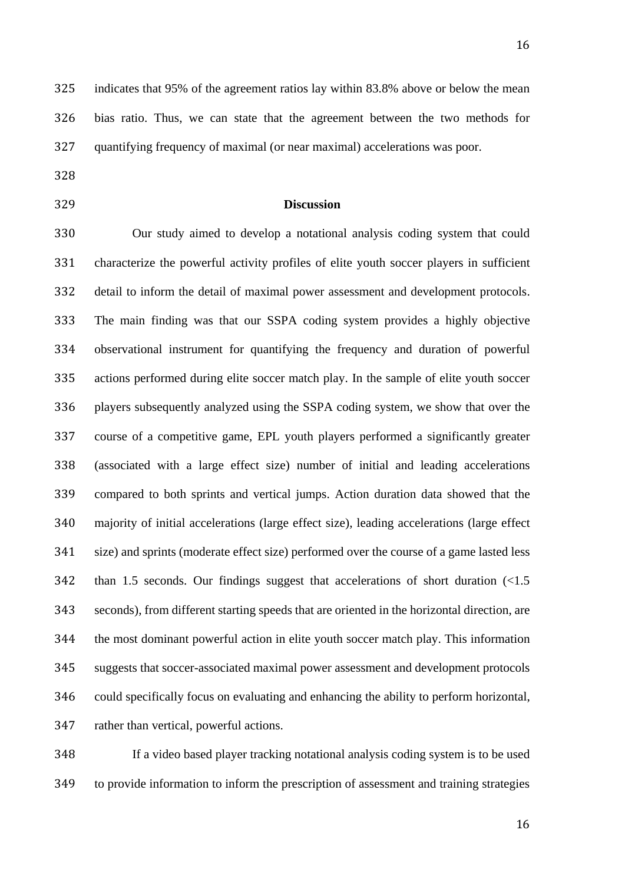indicates that 95% of the agreement ratios lay within 83.8% above or below the mean bias ratio. Thus, we can state that the agreement between the two methods for quantifying frequency of maximal (or near maximal) accelerations was poor.

- 
- 

## **Discussion**

 Our study aimed to develop a notational analysis coding system that could characterize the powerful activity profiles of elite youth soccer players in sufficient detail to inform the detail of maximal power assessment and development protocols. The main finding was that our SSPA coding system provides a highly objective observational instrument for quantifying the frequency and duration of powerful actions performed during elite soccer match play. In the sample of elite youth soccer players subsequently analyzed using the SSPA coding system, we show that over the course of a competitive game, EPL youth players performed a significantly greater (associated with a large effect size) number of initial and leading accelerations compared to both sprints and vertical jumps. Action duration data showed that the majority of initial accelerations (large effect size), leading accelerations (large effect size) and sprints (moderate effect size) performed over the course of a game lasted less than 1.5 seconds. Our findings suggest that accelerations of short duration (<1.5 seconds), from different starting speeds that are oriented in the horizontal direction, are the most dominant powerful action in elite youth soccer match play. This information suggests that soccer-associated maximal power assessment and development protocols could specifically focus on evaluating and enhancing the ability to perform horizontal, rather than vertical, powerful actions.

 If a video based player tracking notational analysis coding system is to be used to provide information to inform the prescription of assessment and training strategies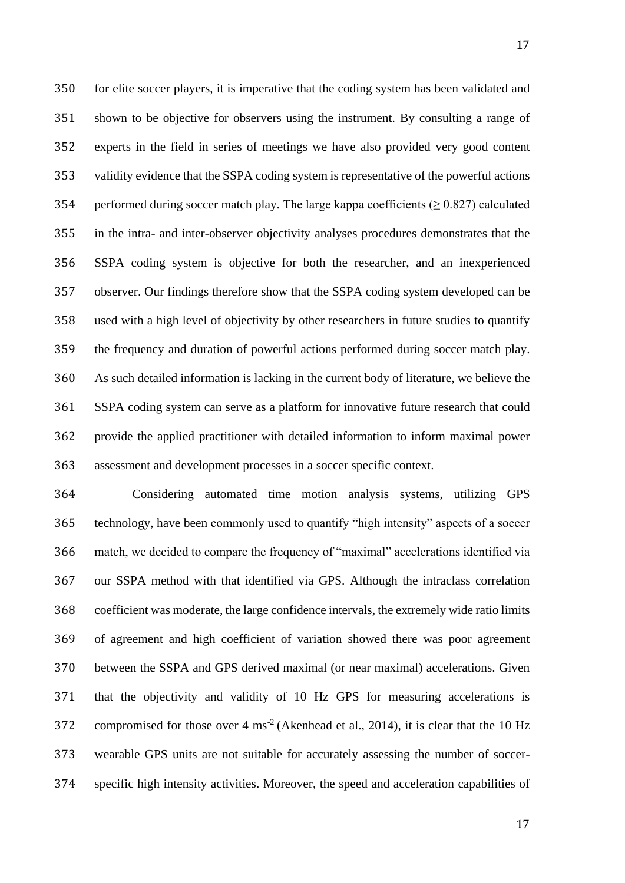for elite soccer players, it is imperative that the coding system has been validated and shown to be objective for observers using the instrument. By consulting a range of experts in the field in series of meetings we have also provided very good content validity evidence that the SSPA coding system is representative of the powerful actions 354 performed during soccer match play. The large kappa coefficients ( $\geq 0.827$ ) calculated in the intra- and inter-observer objectivity analyses procedures demonstrates that the SSPA coding system is objective for both the researcher, and an inexperienced observer. Our findings therefore show that the SSPA coding system developed can be used with a high level of objectivity by other researchers in future studies to quantify the frequency and duration of powerful actions performed during soccer match play. As such detailed information is lacking in the current body of literature, we believe the SSPA coding system can serve as a platform for innovative future research that could provide the applied practitioner with detailed information to inform maximal power assessment and development processes in a soccer specific context.

 Considering automated time motion analysis systems, utilizing GPS technology, have been commonly used to quantify "high intensity" aspects of a soccer match, we decided to compare the frequency of "maximal" accelerations identified via our SSPA method with that identified via GPS. Although the intraclass correlation coefficient was moderate, the large confidence intervals, the extremely wide ratio limits of agreement and high coefficient of variation showed there was poor agreement between the SSPA and GPS derived maximal (or near maximal) accelerations. Given that the objectivity and validity of 10 Hz GPS for measuring accelerations is 372 compromised for those over  $4 \text{ ms}^{-2}$  (Akenhead et al., 2014), it is clear that the 10 Hz wearable GPS units are not suitable for accurately assessing the number of soccer-specific high intensity activities. Moreover, the speed and acceleration capabilities of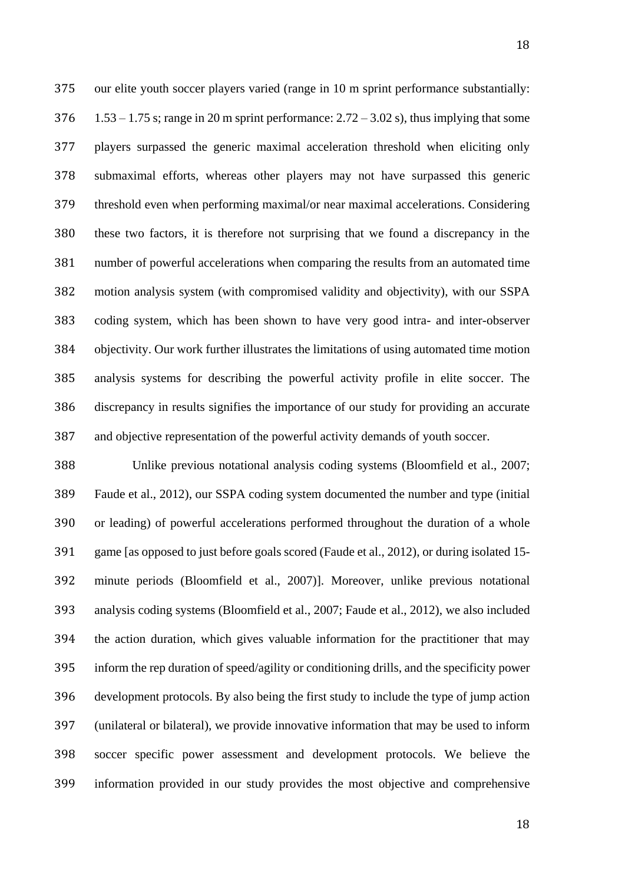our elite youth soccer players varied (range in 10 m sprint performance substantially: 1.53 – 1.75 s; range in 20 m sprint performance: 2.72 – 3.02 s), thus implying that some players surpassed the generic maximal acceleration threshold when eliciting only submaximal efforts, whereas other players may not have surpassed this generic threshold even when performing maximal/or near maximal accelerations. Considering these two factors, it is therefore not surprising that we found a discrepancy in the number of powerful accelerations when comparing the results from an automated time motion analysis system (with compromised validity and objectivity), with our SSPA coding system, which has been shown to have very good intra- and inter-observer objectivity. Our work further illustrates the limitations of using automated time motion analysis systems for describing the powerful activity profile in elite soccer. The discrepancy in results signifies the importance of our study for providing an accurate and objective representation of the powerful activity demands of youth soccer.

 Unlike previous notational analysis coding systems (Bloomfield et al., 2007; Faude et al., 2012), our SSPA coding system documented the number and type (initial or leading) of powerful accelerations performed throughout the duration of a whole game [as opposed to just before goals scored (Faude et al., 2012), or during isolated 15- minute periods (Bloomfield et al., 2007)]. Moreover, unlike previous notational analysis coding systems (Bloomfield et al., 2007; Faude et al., 2012), we also included the action duration, which gives valuable information for the practitioner that may inform the rep duration of speed/agility or conditioning drills, and the specificity power development protocols. By also being the first study to include the type of jump action (unilateral or bilateral), we provide innovative information that may be used to inform soccer specific power assessment and development protocols. We believe the information provided in our study provides the most objective and comprehensive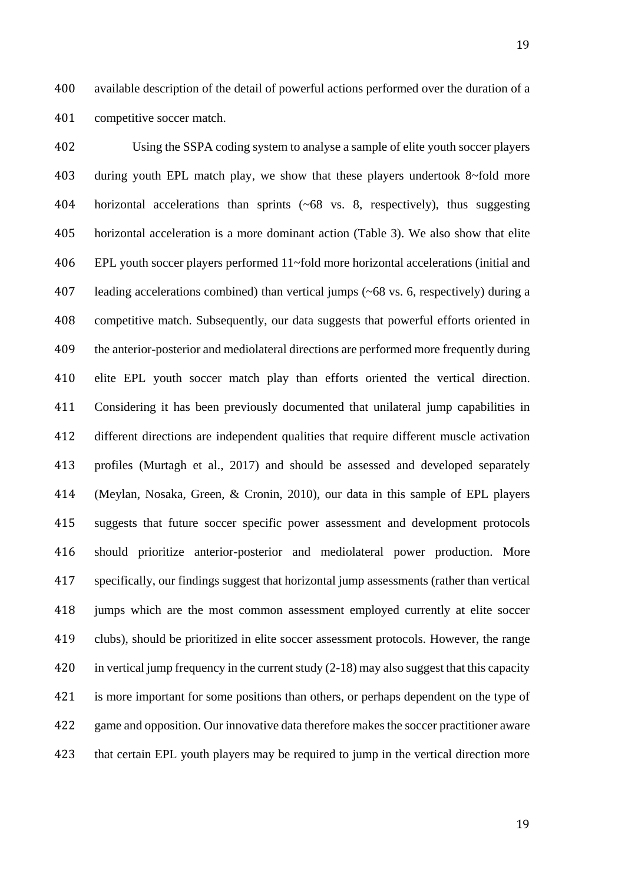available description of the detail of powerful actions performed over the duration of a competitive soccer match.

 Using the SSPA coding system to analyse a sample of elite youth soccer players during youth EPL match play, we show that these players undertook 8~fold more horizontal accelerations than sprints (~68 vs. 8, respectively), thus suggesting horizontal acceleration is a more dominant action (Table 3). We also show that elite EPL youth soccer players performed 11~fold more horizontal accelerations (initial and leading accelerations combined) than vertical jumps (~68 vs. 6, respectively) during a competitive match. Subsequently, our data suggests that powerful efforts oriented in the anterior-posterior and mediolateral directions are performed more frequently during elite EPL youth soccer match play than efforts oriented the vertical direction. Considering it has been previously documented that unilateral jump capabilities in different directions are independent qualities that require different muscle activation profiles (Murtagh et al., 2017) and should be assessed and developed separately (Meylan, Nosaka, Green, & Cronin, 2010), our data in this sample of EPL players suggests that future soccer specific power assessment and development protocols should prioritize anterior-posterior and mediolateral power production. More specifically, our findings suggest that horizontal jump assessments (rather than vertical jumps which are the most common assessment employed currently at elite soccer clubs), should be prioritized in elite soccer assessment protocols. However, the range in vertical jump frequency in the current study (2-18) may also suggest that this capacity is more important for some positions than others, or perhaps dependent on the type of game and opposition. Our innovative data therefore makes the soccer practitioner aware that certain EPL youth players may be required to jump in the vertical direction more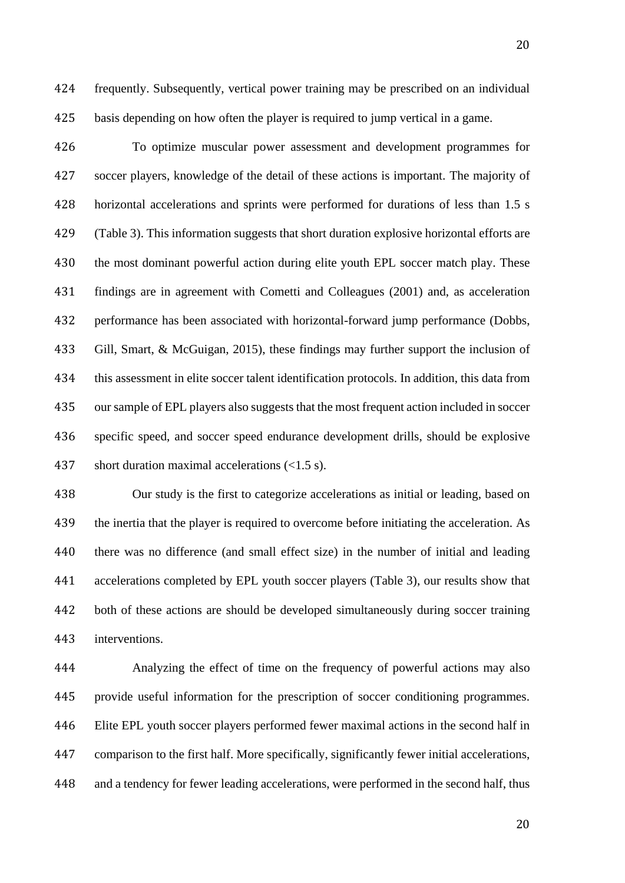frequently. Subsequently, vertical power training may be prescribed on an individual basis depending on how often the player is required to jump vertical in a game.

 To optimize muscular power assessment and development programmes for soccer players, knowledge of the detail of these actions is important. The majority of horizontal accelerations and sprints were performed for durations of less than 1.5 s (Table 3). This information suggests that short duration explosive horizontal efforts are the most dominant powerful action during elite youth EPL soccer match play. These findings are in agreement with Cometti and Colleagues (2001) and, as acceleration performance has been associated with horizontal-forward jump performance (Dobbs, Gill, Smart, & McGuigan, 2015), these findings may further support the inclusion of this assessment in elite soccer talent identification protocols. In addition, this data from our sample of EPL players also suggests that the most frequent action included in soccer specific speed, and soccer speed endurance development drills, should be explosive short duration maximal accelerations (<1.5 s).

 Our study is the first to categorize accelerations as initial or leading, based on the inertia that the player is required to overcome before initiating the acceleration. As there was no difference (and small effect size) in the number of initial and leading accelerations completed by EPL youth soccer players (Table 3), our results show that both of these actions are should be developed simultaneously during soccer training interventions.

 Analyzing the effect of time on the frequency of powerful actions may also provide useful information for the prescription of soccer conditioning programmes. Elite EPL youth soccer players performed fewer maximal actions in the second half in comparison to the first half. More specifically, significantly fewer initial accelerations, and a tendency for fewer leading accelerations, were performed in the second half, thus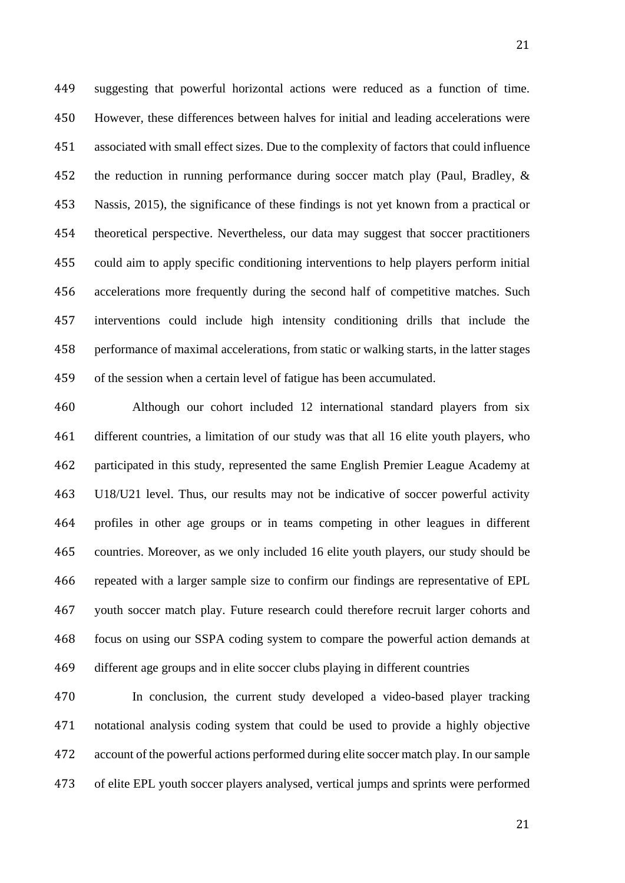suggesting that powerful horizontal actions were reduced as a function of time. However, these differences between halves for initial and leading accelerations were associated with small effect sizes. Due to the complexity of factors that could influence the reduction in running performance during soccer match play (Paul, Bradley, & Nassis, 2015), the significance of these findings is not yet known from a practical or theoretical perspective. Nevertheless, our data may suggest that soccer practitioners could aim to apply specific conditioning interventions to help players perform initial accelerations more frequently during the second half of competitive matches. Such interventions could include high intensity conditioning drills that include the performance of maximal accelerations, from static or walking starts, in the latter stages of the session when a certain level of fatigue has been accumulated.

 Although our cohort included 12 international standard players from six different countries, a limitation of our study was that all 16 elite youth players, who participated in this study, represented the same English Premier League Academy at U18/U21 level. Thus, our results may not be indicative of soccer powerful activity profiles in other age groups or in teams competing in other leagues in different countries. Moreover, as we only included 16 elite youth players, our study should be repeated with a larger sample size to confirm our findings are representative of EPL youth soccer match play. Future research could therefore recruit larger cohorts and focus on using our SSPA coding system to compare the powerful action demands at different age groups and in elite soccer clubs playing in different countries

 In conclusion, the current study developed a video-based player tracking notational analysis coding system that could be used to provide a highly objective account of the powerful actions performed during elite soccer match play. In our sample of elite EPL youth soccer players analysed, vertical jumps and sprints were performed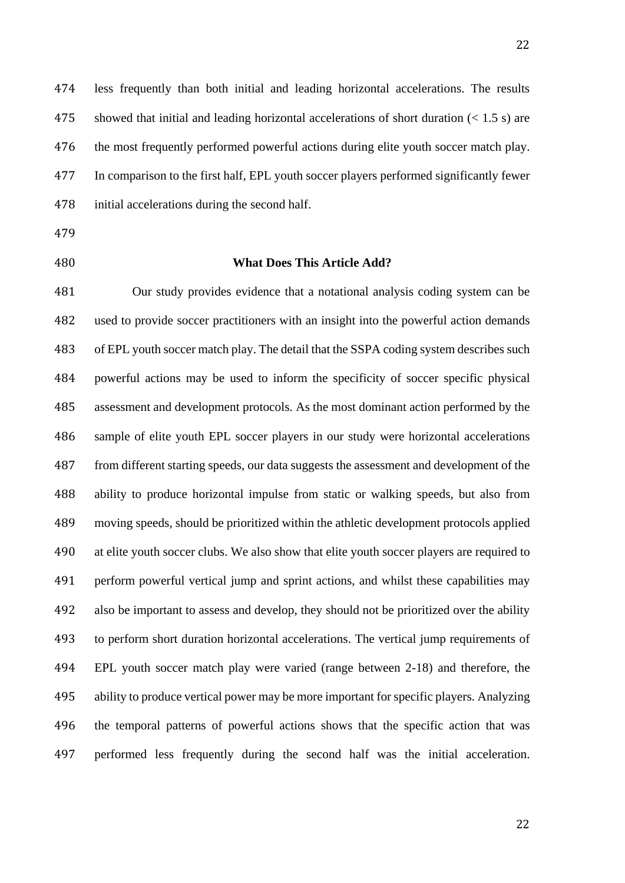less frequently than both initial and leading horizontal accelerations. The results showed that initial and leading horizontal accelerations of short duration (< 1.5 s) are the most frequently performed powerful actions during elite youth soccer match play. In comparison to the first half, EPL youth soccer players performed significantly fewer initial accelerations during the second half.

- 
- 

## **What Does This Article Add?**

 Our study provides evidence that a notational analysis coding system can be used to provide soccer practitioners with an insight into the powerful action demands of EPL youth soccer match play. The detail that the SSPA coding system describes such powerful actions may be used to inform the specificity of soccer specific physical assessment and development protocols. As the most dominant action performed by the sample of elite youth EPL soccer players in our study were horizontal accelerations from different starting speeds, our data suggests the assessment and development of the ability to produce horizontal impulse from static or walking speeds, but also from moving speeds, should be prioritized within the athletic development protocols applied at elite youth soccer clubs. We also show that elite youth soccer players are required to perform powerful vertical jump and sprint actions, and whilst these capabilities may also be important to assess and develop, they should not be prioritized over the ability to perform short duration horizontal accelerations. The vertical jump requirements of EPL youth soccer match play were varied (range between 2-18) and therefore, the ability to produce vertical power may be more important for specific players. Analyzing the temporal patterns of powerful actions shows that the specific action that was performed less frequently during the second half was the initial acceleration.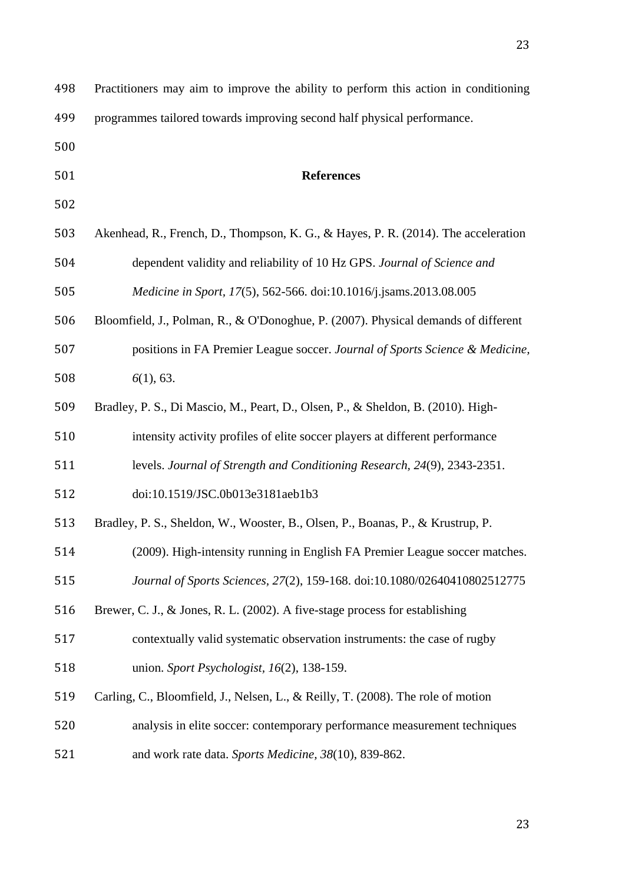| 498 | Practitioners may aim to improve the ability to perform this action in conditioning |
|-----|-------------------------------------------------------------------------------------|
| 499 | programmes tailored towards improving second half physical performance.             |
| 500 |                                                                                     |
| 501 | <b>References</b>                                                                   |
| 502 |                                                                                     |
| 503 | Akenhead, R., French, D., Thompson, K. G., & Hayes, P. R. (2014). The acceleration  |
| 504 | dependent validity and reliability of 10 Hz GPS. Journal of Science and             |
| 505 | Medicine in Sport, 17(5), 562-566. doi:10.1016/j.jsams.2013.08.005                  |
| 506 | Bloomfield, J., Polman, R., & O'Donoghue, P. (2007). Physical demands of different  |
| 507 | positions in FA Premier League soccer. Journal of Sports Science & Medicine,        |
| 508 | 6(1), 63.                                                                           |
| 509 | Bradley, P. S., Di Mascio, M., Peart, D., Olsen, P., & Sheldon, B. (2010). High-    |
| 510 | intensity activity profiles of elite soccer players at different performance        |
| 511 | levels. Journal of Strength and Conditioning Research, 24(9), 2343-2351.            |
| 512 | doi:10.1519/JSC.0b013e3181aeb1b3                                                    |
| 513 | Bradley, P. S., Sheldon, W., Wooster, B., Olsen, P., Boanas, P., & Krustrup, P.     |
| 514 | (2009). High-intensity running in English FA Premier League soccer matches.         |
| 515 | Journal of Sports Sciences, 27(2), 159-168. doi:10.1080/02640410802512775           |
| 516 | Brewer, C. J., & Jones, R. L. (2002). A five-stage process for establishing         |
| 517 | contextually valid systematic observation instruments: the case of rugby            |
| 518 | union. Sport Psychologist, $16(2)$ , 138-159.                                       |
| 519 | Carling, C., Bloomfield, J., Nelsen, L., & Reilly, T. (2008). The role of motion    |
| 520 | analysis in elite soccer: contemporary performance measurement techniques           |
| 521 | and work rate data. Sports Medicine, 38(10), 839-862.                               |
|     |                                                                                     |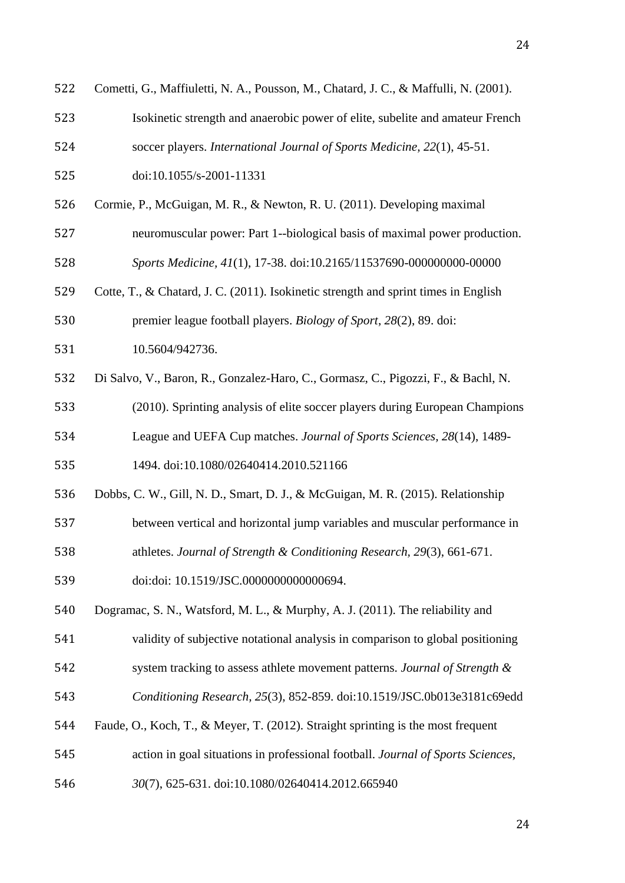| 522 | Cometti, G., Maffiuletti, N. A., Pousson, M., Chatard, J. C., & Maffulli, N. (2001). |
|-----|--------------------------------------------------------------------------------------|
| 523 | Isokinetic strength and anaerobic power of elite, subelite and amateur French        |
| 524 | soccer players. International Journal of Sports Medicine, 22(1), 45-51.              |
| 525 | doi:10.1055/s-2001-11331                                                             |
| 526 | Cormie, P., McGuigan, M. R., & Newton, R. U. (2011). Developing maximal              |
| 527 | neuromuscular power: Part 1--biological basis of maximal power production.           |
| 528 | Sports Medicine, 41(1), 17-38. doi:10.2165/11537690-000000000-00000                  |
| 529 | Cotte, T., & Chatard, J. C. (2011). Isokinetic strength and sprint times in English  |
| 530 | premier league football players. Biology of Sport, 28(2), 89. doi:                   |
| 531 | 10.5604/942736.                                                                      |
| 532 | Di Salvo, V., Baron, R., Gonzalez-Haro, C., Gormasz, C., Pigozzi, F., & Bachl, N.    |
| 533 | (2010). Sprinting analysis of elite soccer players during European Champions         |
| 534 | League and UEFA Cup matches. Journal of Sports Sciences, 28(14), 1489-               |
| 535 | 1494. doi:10.1080/02640414.2010.521166                                               |
| 536 | Dobbs, C. W., Gill, N. D., Smart, D. J., & McGuigan, M. R. (2015). Relationship      |
| 537 | between vertical and horizontal jump variables and muscular performance in           |
| 538 | athletes. Journal of Strength & Conditioning Research, 29(3), 661-671.               |
| 539 | doi:doi: 10.1519/JSC.0000000000000694.                                               |
| 540 | Dogramac, S. N., Watsford, M. L., & Murphy, A. J. (2011). The reliability and        |
| 541 | validity of subjective notational analysis in comparison to global positioning       |
| 542 | system tracking to assess athlete movement patterns. Journal of Strength &           |
| 543 | Conditioning Research, 25(3), 852-859. doi:10.1519/JSC.0b013e3181c69edd              |
| 544 | Faude, O., Koch, T., & Meyer, T. (2012). Straight sprinting is the most frequent     |
| 545 | action in goal situations in professional football. Journal of Sports Sciences,      |
| 546 | 30(7), 625-631. doi:10.1080/02640414.2012.665940                                     |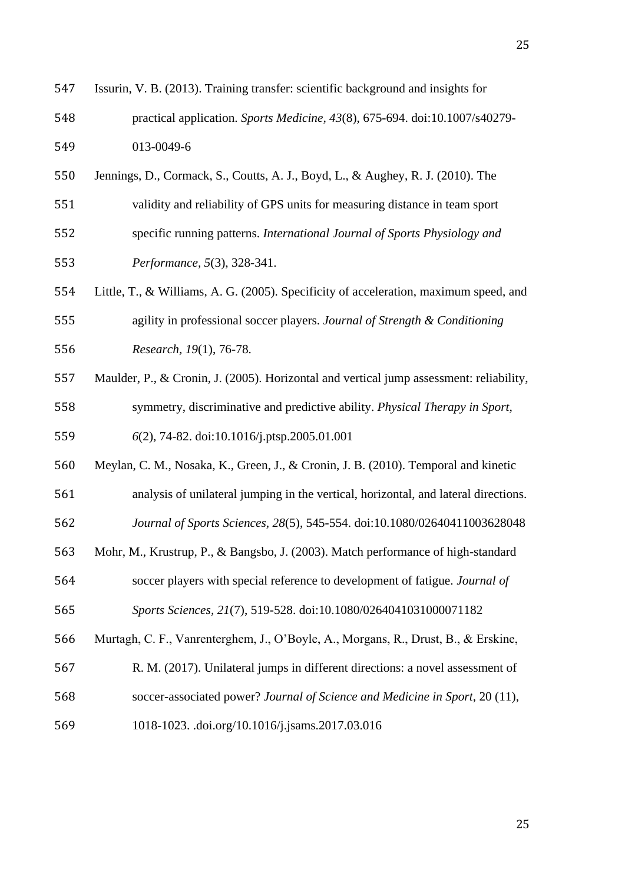| 547 | Issurin, V. B. (2013). Training transfer: scientific background and insights for        |
|-----|-----------------------------------------------------------------------------------------|
| 548 | practical application. Sports Medicine, 43(8), 675-694. doi:10.1007/s40279-             |
| 549 | 013-0049-6                                                                              |
| 550 | Jennings, D., Cormack, S., Coutts, A. J., Boyd, L., & Aughey, R. J. (2010). The         |
| 551 | validity and reliability of GPS units for measuring distance in team sport              |
| 552 | specific running patterns. International Journal of Sports Physiology and               |
| 553 | Performance, 5(3), 328-341.                                                             |
| 554 | Little, T., & Williams, A. G. (2005). Specificity of acceleration, maximum speed, and   |
| 555 | agility in professional soccer players. Journal of Strength & Conditioning              |
| 556 | Research, 19(1), 76-78.                                                                 |
| 557 | Maulder, P., & Cronin, J. (2005). Horizontal and vertical jump assessment: reliability, |
| 558 | symmetry, discriminative and predictive ability. Physical Therapy in Sport,             |
| 559 | 6(2), 74-82. doi:10.1016/j.ptsp.2005.01.001                                             |
| 560 | Meylan, C. M., Nosaka, K., Green, J., & Cronin, J. B. (2010). Temporal and kinetic      |
| 561 | analysis of unilateral jumping in the vertical, horizontal, and lateral directions.     |
| 562 | Journal of Sports Sciences, 28(5), 545-554. doi:10.1080/02640411003628048               |
| 563 | Mohr, M., Krustrup, P., & Bangsbo, J. (2003). Match performance of high-standard        |
| 564 | soccer players with special reference to development of fatigue. Journal of             |
| 565 | Sports Sciences, 21(7), 519-528. doi:10.1080/0264041031000071182                        |
| 566 | Murtagh, C. F., Vanrenterghem, J., O'Boyle, A., Morgans, R., Drust, B., & Erskine,      |
| 567 | R. M. (2017). Unilateral jumps in different directions: a novel assessment of           |
| 568 | soccer-associated power? Journal of Science and Medicine in Sport, 20 (11),             |
| 569 | 1018-1023. .doi.org/10.1016/j.jsams.2017.03.016                                         |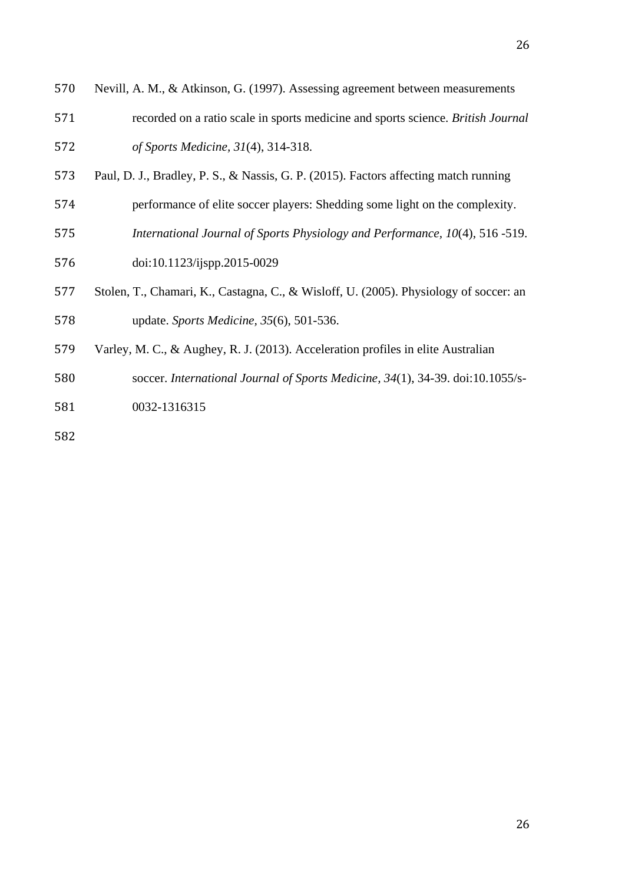- Nevill, A. M., & Atkinson, G. (1997). Assessing agreement between measurements recorded on a ratio scale in sports medicine and sports science. *British Journal of Sports Medicine, 31*(4), 314-318.
- Paul, D. J., Bradley, P. S., & Nassis, G. P. (2015). Factors affecting match running
- performance of elite soccer players: Shedding some light on the complexity.
- *International Journal of Sports Physiology and Performance, 10*(4), 516 -519.
- doi:10.1123/ijspp.2015-0029
- Stolen, T., Chamari, K., Castagna, C., & Wisloff, U. (2005). Physiology of soccer: an update. *Sports Medicine, 35*(6), 501-536.
- Varley, M. C., & Aughey, R. J. (2013). Acceleration profiles in elite Australian
- soccer. *International Journal of Sports Medicine, 34*(1), 34-39. doi:10.1055/s-
- 0032-1316315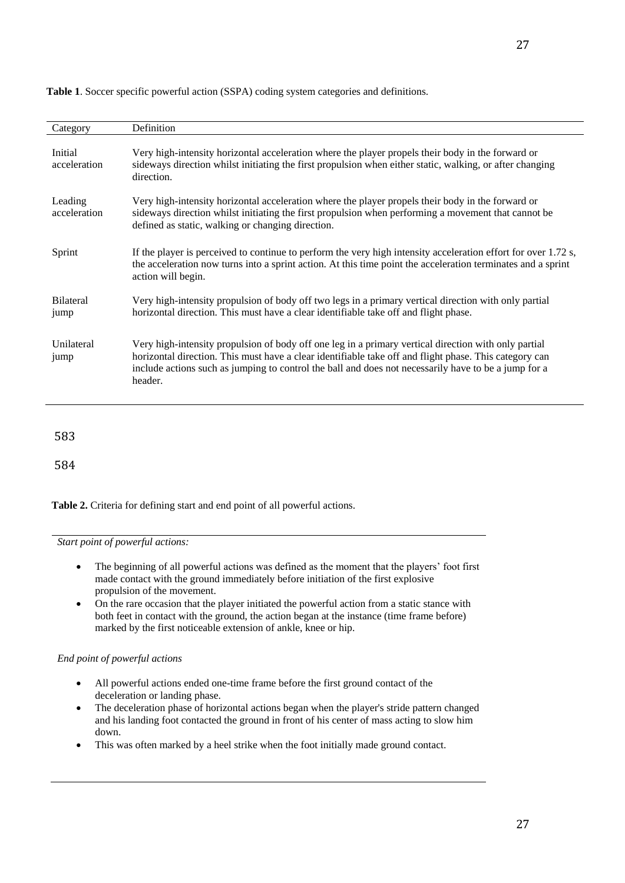| Category                 | Definition                                                                                                                                                                                                                                                                                                                        |
|--------------------------|-----------------------------------------------------------------------------------------------------------------------------------------------------------------------------------------------------------------------------------------------------------------------------------------------------------------------------------|
| Initial<br>acceleration  | Very high-intensity horizontal acceleration where the player propels their body in the forward or<br>sideways direction whilst initiating the first propulsion when either static, walking, or after changing<br>direction.                                                                                                       |
| Leading<br>acceleration  | Very high-intensity horizontal acceleration where the player propels their body in the forward or<br>sideways direction whilst initiating the first propulsion when performing a movement that cannot be<br>defined as static, walking or changing direction.                                                                     |
| Sprint                   | If the player is perceived to continue to perform the very high intensity acceleration effort for over 1.72 s,<br>the acceleration now turns into a sprint action. At this time point the acceleration terminates and a sprint<br>action will begin.                                                                              |
| <b>Bilateral</b><br>jump | Very high-intensity propulsion of body off two legs in a primary vertical direction with only partial<br>horizontal direction. This must have a clear identifiable take off and flight phase.                                                                                                                                     |
| Unilateral<br>jump       | Very high-intensity propulsion of body off one leg in a primary vertical direction with only partial<br>horizontal direction. This must have a clear identifiable take off and flight phase. This category can<br>include actions such as jumping to control the ball and does not necessarily have to be a jump for a<br>header. |
|                          |                                                                                                                                                                                                                                                                                                                                   |
| 583                      |                                                                                                                                                                                                                                                                                                                                   |
| 584                      |                                                                                                                                                                                                                                                                                                                                   |

**Table 1**. Soccer specific powerful action (SSPA) coding system categories and definitions.

**Table 2.** Criteria for defining start and end point of all powerful actions.

*Start point of powerful actions:*

- The beginning of all powerful actions was defined as the moment that the players' foot first made contact with the ground immediately before initiation of the first explosive propulsion of the movement.
- On the rare occasion that the player initiated the powerful action from a static stance with both feet in contact with the ground, the action began at the instance (time frame before) marked by the first noticeable extension of ankle, knee or hip.

#### *End point of powerful actions*

- All powerful actions ended one-time frame before the first ground contact of the deceleration or landing phase.
- The deceleration phase of horizontal actions began when the player's stride pattern changed and his landing foot contacted the ground in front of his center of mass acting to slow him down.
- This was often marked by a heel strike when the foot initially made ground contact.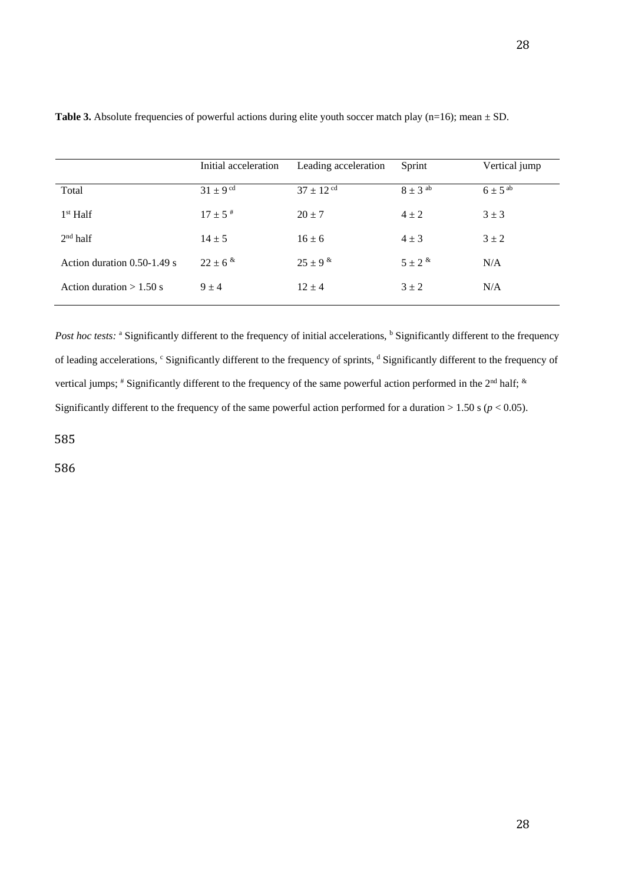| Initial acceleration    | Leading acceleration      | Sprint        | Vertical jump           |
|-------------------------|---------------------------|---------------|-------------------------|
| $31 + 9$ <sup>cd</sup>  | $37 \pm 12$ <sup>cd</sup> | $8 \pm 3$ ab  | $6 \pm 5$ <sup>ab</sup> |
| $17 \pm 5$ <sup>#</sup> | $20 \pm 7$                | $4 \pm 2$     | $3 \pm 3$               |
| $14 \pm 5$              | $16 \pm 6$                | $4 \pm 3$     | $3 \pm 2$               |
| $22 \pm 6^{*}$          | $25 \pm 9$ &              | $5 \pm 2^{k}$ | N/A                     |
| $9 \pm 4$               | $12 \pm 4$                | $3 \pm 2$     | N/A                     |
|                         |                           |               |                         |

**Table 3.** Absolute frequencies of powerful actions during elite youth soccer match play (n=16); mean  $\pm$  SD.

*Post hoc tests:* <sup>a</sup> Significantly different to the frequency of initial accelerations, <sup>b</sup> Significantly different to the frequency of leading accelerations, c Significantly different to the frequency of sprints, <sup>d</sup> Significantly different to the frequency of vertical jumps; # Significantly different to the frequency of the same powerful action performed in the 2<sup>nd</sup> half;  $\&$ Significantly different to the frequency of the same powerful action performed for a duration  $> 1.50$  s ( $p < 0.05$ ).

585